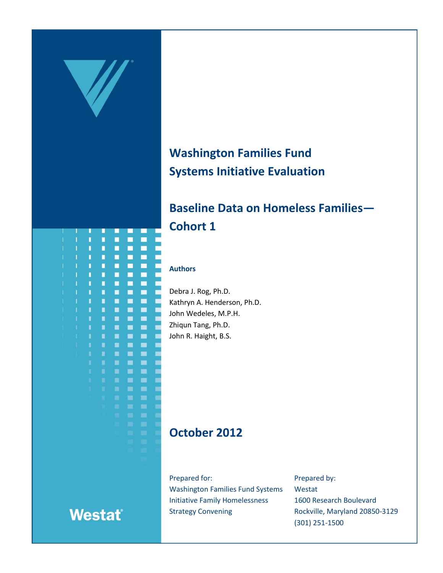

# **Washington Families Fund Systems Initiative Evaluation**

# **Baseline Data on Homeless Families— Cohort 1**

#### **Authors**

Debra J. Rog, Ph.D. Kathryn A. Henderson, Ph.D. John Wedeles, M.P.H. Zhiqun Tang, Ph.D. John R. Haight, B.S.

# **October 2012**

Prepared for: Washington Families Fund Systems Initiative Family Homelessness Strategy Convening

Prepared by: Westat 1600 Research Boulevard Rockville, Maryland 20850-3129 (301) 251-1500



# **Westat®**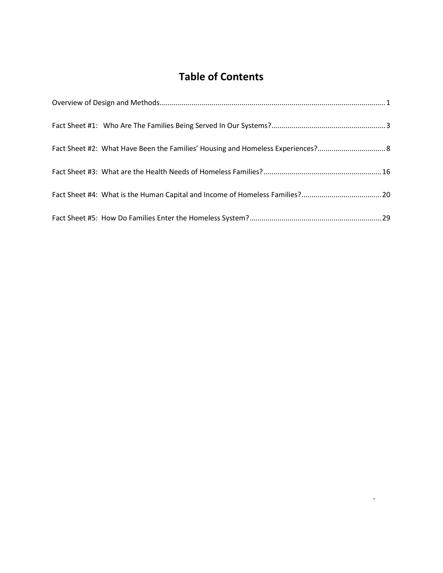# **Table of Contents**

 $\star$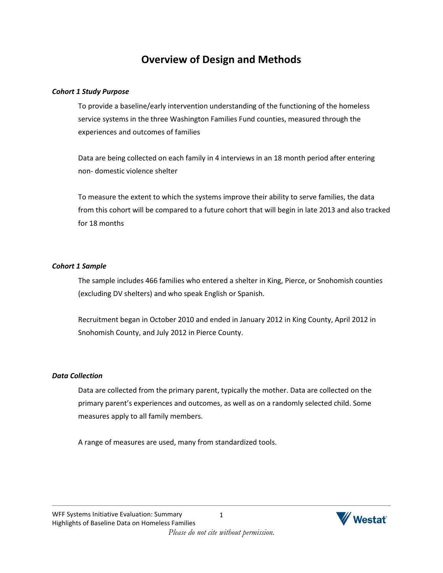# **Overview of Design and Methods**

#### <span id="page-2-0"></span>*Cohort 1 Study Purpose*

To provide a baseline/early intervention understanding of the functioning of the homeless service systems in the three Washington Families Fund counties, measured through the experiences and outcomes of families

Data are being collected on each family in 4 interviews in an 18 month period after entering non- domestic violence shelter

To measure the extent to which the systems improve their ability to serve families, the data from this cohort will be compared to a future cohort that will begin in late 2013 and also tracked for 18 months

#### *Cohort 1 Sample*

The sample includes 466 families who entered a shelter in King, Pierce, or Snohomish counties (excluding DV shelters) and who speak English or Spanish.

Recruitment began in October 2010 and ended in January 2012 in King County, April 2012 in Snohomish County, and July 2012 in Pierce County.

### *Data Collection*

Data are collected from the primary parent, typically the mother. Data are collected on the primary parent's experiences and outcomes, as well as on a randomly selected child. Some measures apply to all family members.

A range of measures are used, many from standardized tools.

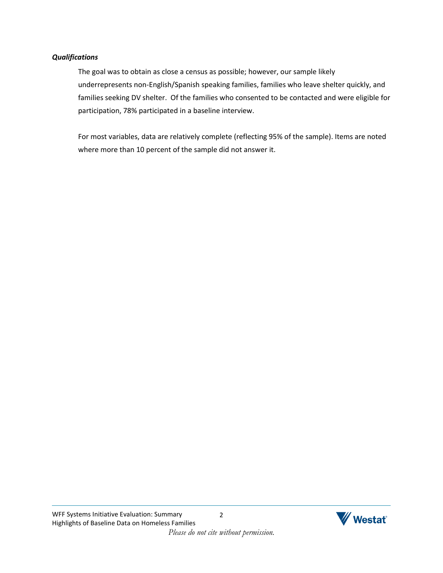#### *Qualifications*

The goal was to obtain as close a census as possible; however, our sample likely underrepresents non-English/Spanish speaking families, families who leave shelter quickly, and families seeking DV shelter. Of the families who consented to be contacted and were eligible for participation, 78% participated in a baseline interview.

For most variables, data are relatively complete (reflecting 95% of the sample). Items are noted where more than 10 percent of the sample did not answer it.

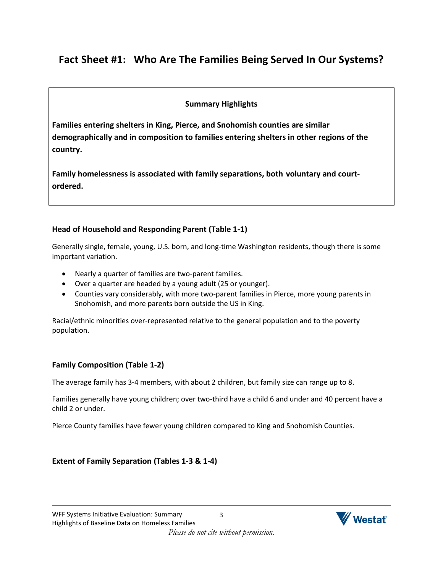# <span id="page-4-0"></span>**Fact Sheet #1: Who Are The Families Being Served In Our Systems?**

### **Summary Highlights**

**Families entering shelters in King, Pierce, and Snohomish counties are similar demographically and in composition to families entering shelters in other regions of the country.**

**Family homelessness is associated with family separations, both voluntary and courtordered.**

### **Head of Household and Responding Parent (Table 1-1)**

Generally single, female, young, U.S. born, and long-time Washington residents, though there is some important variation.

- Nearly a quarter of families are two-parent families.
- Over a quarter are headed by a young adult (25 or younger).
- Counties vary considerably, with more two-parent families in Pierce, more young parents in Snohomish, and more parents born outside the US in King.

Racial/ethnic minorities over-represented relative to the general population and to the poverty population.

### **Family Composition (Table 1-2)**

The average family has 3-4 members, with about 2 children, but family size can range up to 8.

Families generally have young children; over two-third have a child 6 and under and 40 percent have a child 2 or under.

Pierce County families have fewer young children compared to King and Snohomish Counties.

### **Extent of Family Separation (Tables 1-3 & 1-4)**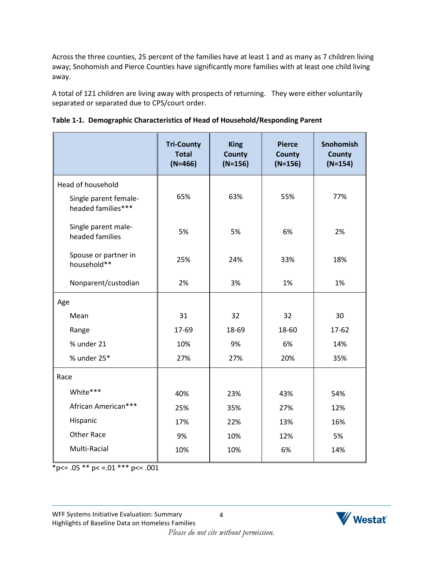Across the three counties, 25 percent of the families have at least 1 and as many as 7 children living away; Snohomish and Pierce Counties have significantly more families with at least one child living away.

A total of 121 children are living away with prospects of returning. They were either voluntarily separated or separated due to CPS/court order.

|                                             | <b>Tri-County</b><br><b>Total</b><br>$(N=466)$ | <b>King</b><br><b>County</b><br>$(N=156)$ | <b>Pierce</b><br><b>County</b><br>$(N=156)$ | Snohomish<br>County<br>$(N=154)$ |
|---------------------------------------------|------------------------------------------------|-------------------------------------------|---------------------------------------------|----------------------------------|
| Head of household                           |                                                |                                           |                                             |                                  |
| Single parent female-<br>headed families*** | 65%                                            | 63%                                       | 55%                                         | 77%                              |
| Single parent male-<br>headed families      | 5%                                             | 5%                                        | 6%                                          | 2%                               |
| Spouse or partner in<br>household**         | 25%                                            | 24%                                       | 33%                                         | 18%                              |
| Nonparent/custodian                         | 2%                                             | 3%                                        | 1%                                          | 1%                               |
| Age                                         |                                                |                                           |                                             |                                  |
| Mean                                        | 31                                             | 32                                        | 32                                          | 30                               |
| Range                                       | 17-69                                          | 18-69                                     | 18-60                                       | 17-62                            |
| % under 21                                  | 10%                                            | 9%                                        | 6%                                          | 14%                              |
| % under 25*                                 | 27%                                            | 27%                                       | 20%                                         | 35%                              |
| Race                                        |                                                |                                           |                                             |                                  |
| White***                                    | 40%                                            | 23%                                       | 43%                                         | 54%                              |
| African American***                         | 25%                                            | 35%                                       | 27%                                         | 12%                              |
| Hispanic                                    | 17%                                            | 22%                                       | 13%                                         | 16%                              |
| <b>Other Race</b>                           | 9%                                             | 10%                                       | 12%                                         | 5%                               |
| Multi-Racial                                | 10%                                            | 10%                                       | 6%                                          | 14%                              |

|  |  |  | Table 1-1. Demographic Characteristics of Head of Household/Responding Parent |  |  |
|--|--|--|-------------------------------------------------------------------------------|--|--|
|--|--|--|-------------------------------------------------------------------------------|--|--|

 $p <= .05 \cdot p < = .01 \cdot p < = .001$ 

4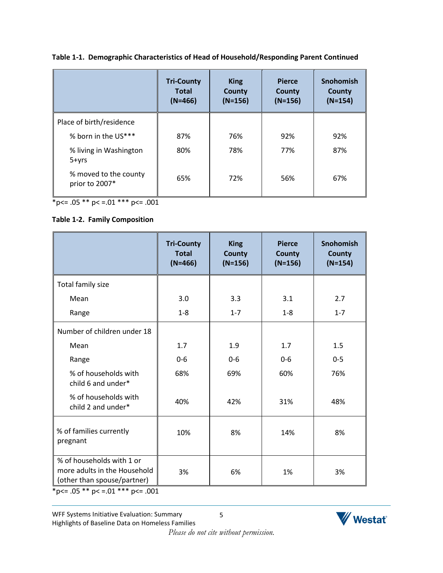|                                         | <b>Tri-County</b><br><b>Total</b><br>$(N=466)$ | <b>King</b><br><b>County</b><br>$(N=156)$ | <b>Pierce</b><br><b>County</b><br>$(N=156)$ | <b>Snohomish</b><br>County<br>$(N=154)$ |
|-----------------------------------------|------------------------------------------------|-------------------------------------------|---------------------------------------------|-----------------------------------------|
| Place of birth/residence                |                                                |                                           |                                             |                                         |
| % born in the US***                     | 87%                                            | 76%                                       | 92%                                         | 92%                                     |
| % living in Washington<br>$5 + yrs$     | 80%                                            | 78%                                       | 77%                                         | 87%                                     |
| % moved to the county<br>prior to 2007* | 65%                                            | 72%                                       | 56%                                         | 67%                                     |

**Table 1-1. Demographic Characteristics of Head of Household/Responding Parent Continued**

 $*p<= .05 ** p<= .01 ** p<= .001$ 

### **Table 1-2. Family Composition**

|                                                                                                                               | <b>Tri-County</b><br><b>Total</b><br>$(N=466)$ | <b>King</b><br><b>County</b><br>$(N=156)$ | <b>Pierce</b><br><b>County</b><br>$(N=156)$ | <b>Snohomish</b><br><b>County</b><br>$(N=154)$ |
|-------------------------------------------------------------------------------------------------------------------------------|------------------------------------------------|-------------------------------------------|---------------------------------------------|------------------------------------------------|
| Total family size                                                                                                             |                                                |                                           |                                             |                                                |
| Mean                                                                                                                          | 3.0                                            | 3.3                                       | 3.1                                         | 2.7                                            |
| Range                                                                                                                         | $1 - 8$                                        | $1 - 7$                                   | $1 - 8$                                     | $1 - 7$                                        |
| Number of children under 18                                                                                                   |                                                |                                           |                                             |                                                |
| Mean                                                                                                                          | 1.7                                            | 1.9                                       | 1.7                                         | 1.5                                            |
| Range                                                                                                                         | $0-6$                                          | $0 - 6$                                   | $0-6$                                       | $0 - 5$                                        |
| % of households with<br>child 6 and under*                                                                                    | 68%                                            | 69%                                       | 60%                                         | 76%                                            |
| % of households with<br>child 2 and under*                                                                                    | 40%                                            | 42%                                       | 31%                                         | 48%                                            |
| % of families currently<br>pregnant                                                                                           | 10%                                            | 8%                                        | 14%                                         | 8%                                             |
| % of households with 1 or<br>more adults in the Household<br>(other than spouse/partner)<br>$\sim$ $ +$ $+$<br>التواطئ امتصاب | 3%                                             | 6%                                        | 1%                                          | 3%                                             |

\* p < =  $.05$  \*\* p < =  $.01$  \*\*\* p < =  $.001$ 

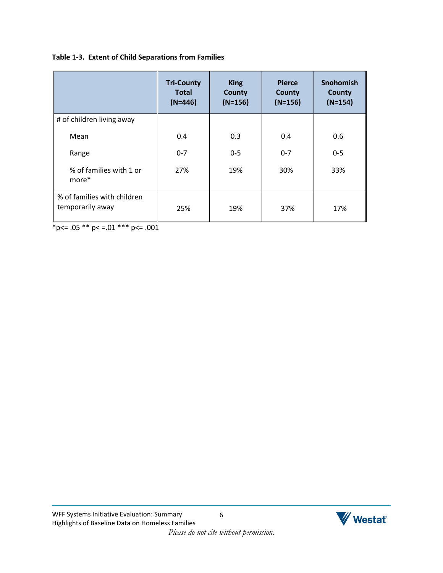### **Table 1-3. Extent of Child Separations from Families**

|                                                 | <b>Tri-County</b><br><b>Total</b><br>$(N=446)$ | <b>King</b><br><b>County</b><br>$(N=156)$ | <b>Pierce</b><br><b>County</b><br>$(N=156)$ | <b>Snohomish</b><br><b>County</b><br>$(N=154)$ |
|-------------------------------------------------|------------------------------------------------|-------------------------------------------|---------------------------------------------|------------------------------------------------|
| # of children living away                       |                                                |                                           |                                             |                                                |
| Mean                                            | 0.4                                            | 0.3                                       | 0.4                                         | 0.6                                            |
| Range                                           | $0 - 7$                                        | $0-5$                                     | $0 - 7$                                     | $0 - 5$                                        |
| % of families with 1 or<br>more*                | 27%                                            | 19%                                       | 30%                                         | 33%                                            |
| % of families with children<br>temporarily away | 25%                                            | 19%                                       | 37%                                         | 17%                                            |

 $*_{p<-.05}$  \*\* p < = .01 \*\*\* p <= .001

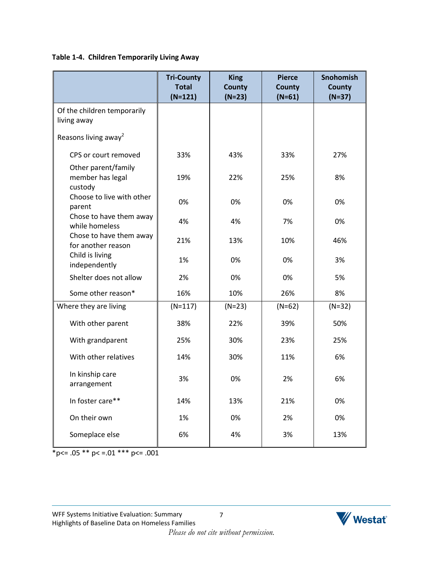### **Table 1-4. Children Temporarily Living Away**

|                                                    | <b>Tri-County</b><br><b>Total</b><br>$(N=121)$ | <b>King</b><br><b>County</b><br>$(N=23)$ | <b>Pierce</b><br><b>County</b><br>$(N=61)$ | <b>Snohomish</b><br><b>County</b><br>$(N=37)$ |
|----------------------------------------------------|------------------------------------------------|------------------------------------------|--------------------------------------------|-----------------------------------------------|
| Of the children temporarily<br>living away         |                                                |                                          |                                            |                                               |
| Reasons living away <sup>2</sup>                   |                                                |                                          |                                            |                                               |
| CPS or court removed                               | 33%                                            | 43%                                      | 33%                                        | 27%                                           |
| Other parent/family<br>member has legal<br>custody | 19%                                            | 22%                                      | 25%                                        | 8%                                            |
| Choose to live with other<br>parent                | 0%                                             | 0%                                       | 0%                                         | 0%                                            |
| Chose to have them away<br>while homeless          | 4%                                             | 4%                                       | 7%                                         | 0%                                            |
| Chose to have them away<br>for another reason      | 21%                                            | 13%                                      | 10%                                        | 46%                                           |
| Child is living<br>independently                   | 1%                                             | 0%                                       | 0%                                         | 3%                                            |
| Shelter does not allow                             | 2%                                             | 0%                                       | 0%                                         | 5%                                            |
| Some other reason*                                 | 16%                                            | 10%                                      | 26%                                        | 8%                                            |
| Where they are living                              | $(N=117)$                                      | $(N=23)$                                 | $(N=62)$                                   | $(N=32)$                                      |
| With other parent                                  | 38%                                            | 22%                                      | 39%                                        | 50%                                           |
| With grandparent                                   | 25%                                            | 30%                                      | 23%                                        | 25%                                           |
| With other relatives                               | 14%                                            | 30%                                      | 11%                                        | 6%                                            |
| In kinship care<br>arrangement                     | 3%                                             | 0%                                       | 2%                                         | 6%                                            |
| In foster care**                                   | 14%                                            | 13%                                      | 21%                                        | 0%                                            |
| On their own                                       | 1%                                             | 0%                                       | 2%                                         | 0%                                            |
| Someplace else                                     | 6%                                             | 4%                                       | 3%                                         | 13%                                           |

 $*_{p<-.05}$  \*\*  $p<-.01$  \*\*\*  $p<-.001$ 

7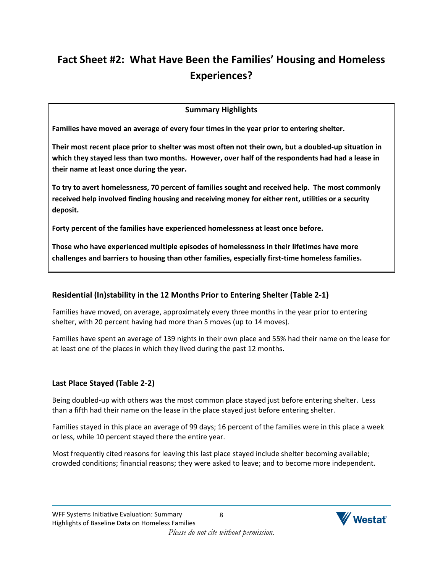# <span id="page-9-0"></span>**Fact Sheet #2: What Have Been the Families' Housing and Homeless Experiences?**

## **Summary Highlights**

**Families have moved an average of every four times in the year prior to entering shelter.**

**Their most recent place prior to shelter was most often not their own, but a doubled-up situation in which they stayed less than two months. However, over half of the respondents had had a lease in their name at least once during the year.**

**To try to avert homelessness, 70 percent of families sought and received help. The most commonly received help involved finding housing and receiving money for either rent, utilities or a security deposit.** 

**Forty percent of the families have experienced homelessness at least once before.** 

**Those who have experienced multiple episodes of homelessness in their lifetimes have more challenges and barriers to housing than other families, especially first-time homeless families.**

### **Residential (In)stability in the 12 Months Prior to Entering Shelter (Table 2-1)**

Families have moved, on average, approximately every three months in the year prior to entering shelter, with 20 percent having had more than 5 moves (up to 14 moves).

Families have spent an average of 139 nights in their own place and 55% had their name on the lease for at least one of the places in which they lived during the past 12 months.

### **Last Place Stayed (Table 2-2)**

Being doubled-up with others was the most common place stayed just before entering shelter. Less than a fifth had their name on the lease in the place stayed just before entering shelter.

Families stayed in this place an average of 99 days; 16 percent of the families were in this place a week or less, while 10 percent stayed there the entire year.

Most frequently cited reasons for leaving this last place stayed include shelter becoming available; crowded conditions; financial reasons; they were asked to leave; and to become more independent.

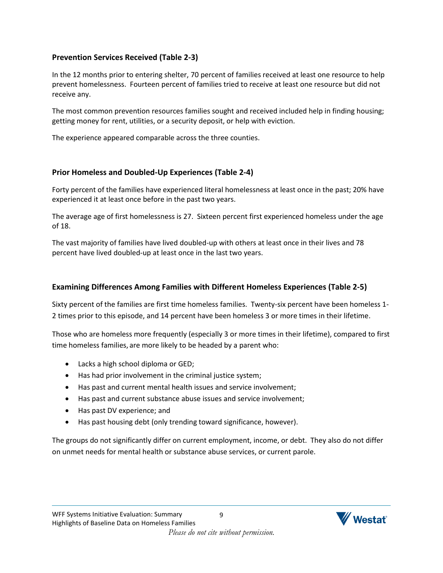### **Prevention Services Received (Table 2-3)**

In the 12 months prior to entering shelter, 70 percent of families received at least one resource to help prevent homelessness. Fourteen percent of families tried to receive at least one resource but did not receive any.

The most common prevention resources families sought and received included help in finding housing; getting money for rent, utilities, or a security deposit, or help with eviction.

The experience appeared comparable across the three counties.

### **Prior Homeless and Doubled-Up Experiences (Table 2-4)**

Forty percent of the families have experienced literal homelessness at least once in the past; 20% have experienced it at least once before in the past two years.

The average age of first homelessness is 27. Sixteen percent first experienced homeless under the age of 18.

The vast majority of families have lived doubled-up with others at least once in their lives and 78 percent have lived doubled-up at least once in the last two years.

### **Examining Differences Among Families with Different Homeless Experiences (Table 2-5)**

Sixty percent of the families are first time homeless families. Twenty-six percent have been homeless 1- 2 times prior to this episode, and 14 percent have been homeless 3 or more times in their lifetime.

Those who are homeless more frequently (especially 3 or more times in their lifetime), compared to first time homeless families, are more likely to be headed by a parent who:

- Lacks a high school diploma or GED;
- Has had prior involvement in the criminal justice system;
- Has past and current mental health issues and service involvement;
- Has past and current substance abuse issues and service involvement;
- Has past DV experience; and
- Has past housing debt (only trending toward significance, however).

The groups do not significantly differ on current employment, income, or debt. They also do not differ on unmet needs for mental health or substance abuse services, or current parole.

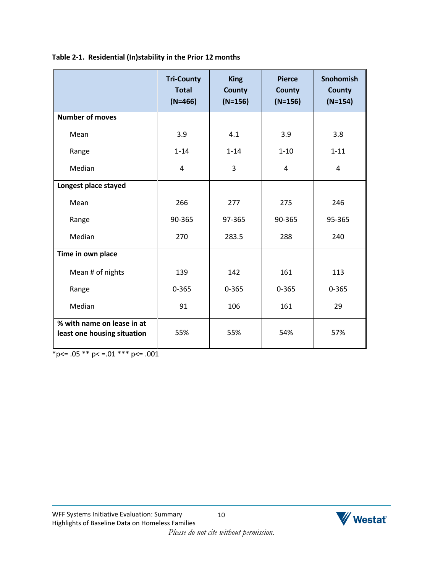|                                                           | <b>Tri-County</b><br><b>Total</b><br>$(N=466)$ | <b>King</b><br><b>County</b><br>$(N=156)$ | <b>Pierce</b><br><b>County</b><br>$(N=156)$ | Snohomish<br><b>County</b><br>$(N=154)$ |
|-----------------------------------------------------------|------------------------------------------------|-------------------------------------------|---------------------------------------------|-----------------------------------------|
| <b>Number of moves</b>                                    |                                                |                                           |                                             |                                         |
| Mean                                                      | 3.9                                            | 4.1                                       | 3.9                                         | 3.8                                     |
| Range                                                     | $1 - 14$                                       | $1 - 14$                                  | $1 - 10$                                    | $1 - 11$                                |
| Median                                                    | 4                                              | 3                                         | 4                                           | 4                                       |
| Longest place stayed                                      |                                                |                                           |                                             |                                         |
| Mean                                                      | 266                                            | 277                                       | 275                                         | 246                                     |
| Range                                                     | 90-365                                         | 97-365                                    | 90-365                                      | 95-365                                  |
| Median                                                    | 270                                            | 283.5                                     | 288                                         | 240                                     |
| Time in own place                                         |                                                |                                           |                                             |                                         |
| Mean # of nights                                          | 139                                            | 142                                       | 161                                         | 113                                     |
| Range                                                     | $0 - 365$                                      | $0 - 365$                                 | $0 - 365$                                   | $0 - 365$                               |
| Median                                                    | 91                                             | 106                                       | 161                                         | 29                                      |
| % with name on lease in at<br>least one housing situation | 55%                                            | 55%                                       | 54%                                         | 57%                                     |

### **Table 2-1. Residential (In)stability in the Prior 12 months**

 $*_{p<-.05}$  \*\* p < = .01 \*\*\* p <= .001

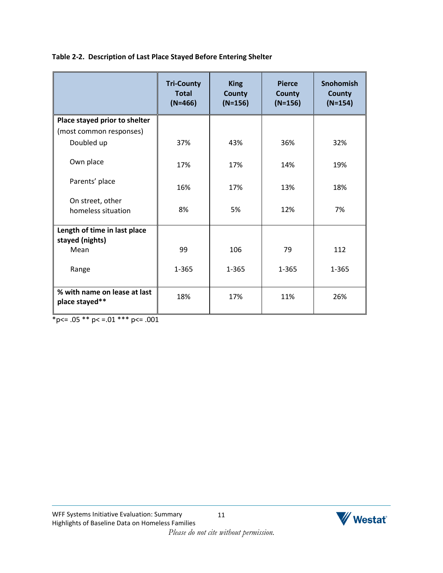|  |  | Table 2-2. Description of Last Place Stayed Before Entering Shelter |
|--|--|---------------------------------------------------------------------|
|  |  |                                                                     |

|                                                 | <b>Tri-County</b><br><b>Total</b><br>$(N=466)$ | <b>King</b><br><b>County</b><br>$(N=156)$ | <b>Pierce</b><br><b>County</b><br>$(N=156)$ | <b>Snohomish</b><br><b>County</b><br>$(N=154)$ |
|-------------------------------------------------|------------------------------------------------|-------------------------------------------|---------------------------------------------|------------------------------------------------|
| Place stayed prior to shelter                   |                                                |                                           |                                             |                                                |
| (most common responses)                         |                                                |                                           |                                             |                                                |
| Doubled up                                      | 37%                                            | 43%                                       | 36%                                         | 32%                                            |
| Own place                                       | 17%                                            | 17%                                       | 14%                                         | 19%                                            |
| Parents' place                                  | 16%                                            | 17%                                       | 13%                                         | 18%                                            |
| On street, other                                |                                                |                                           |                                             |                                                |
| homeless situation                              | 8%                                             | 5%                                        | 12%                                         | 7%                                             |
| Length of time in last place<br>stayed (nights) |                                                |                                           |                                             |                                                |
| Mean                                            | 99                                             | 106                                       | 79                                          | 112                                            |
| Range                                           | $1 - 365$                                      | 1-365                                     | 1-365                                       | 1-365                                          |
| % with name on lease at last<br>place stayed**  | 18%                                            | 17%                                       | 11%                                         | 26%                                            |

 $*_{p<-.05}$  \*\*  $p<-.01$  \*\*\*  $p<-.001$ 

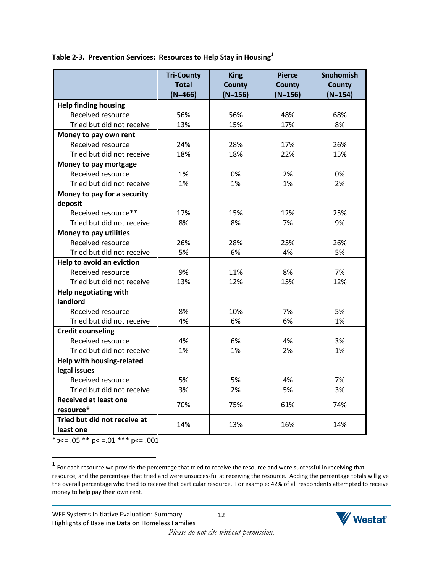**Table 2-3. Prevention Services: Resources to Help Stay in Housing<sup>1</sup>**

|                                        | <b>Tri-County</b><br><b>Total</b> | <b>King</b><br><b>County</b> | <b>Pierce</b><br><b>County</b> | Snohomish<br><b>County</b> |
|----------------------------------------|-----------------------------------|------------------------------|--------------------------------|----------------------------|
|                                        | $(N=466)$                         | $(N=156)$                    | $(N=156)$                      | $(N=154)$                  |
| <b>Help finding housing</b>            |                                   |                              |                                |                            |
| Received resource                      | 56%                               | 56%                          | 48%                            | 68%                        |
| Tried but did not receive              | 13%                               | 15%                          | 17%                            | 8%                         |
| Money to pay own rent                  |                                   |                              |                                |                            |
| Received resource                      | 24%                               | 28%                          | 17%                            | 26%                        |
| Tried but did not receive              | 18%                               | 18%                          | 22%                            | 15%                        |
| Money to pay mortgage                  |                                   |                              |                                |                            |
| Received resource                      | 1%                                | 0%                           | 2%                             | 0%                         |
| Tried but did not receive              | 1%                                | 1%                           | 1%                             | 2%                         |
| Money to pay for a security<br>deposit |                                   |                              |                                |                            |
| Received resource**                    | 17%                               | 15%                          | 12%                            | 25%                        |
| Tried but did not receive              | 8%                                | 8%                           | 7%                             | 9%                         |
| Money to pay utilities                 |                                   |                              |                                |                            |
| Received resource                      | 26%                               | 28%                          | 25%                            | 26%                        |
| Tried but did not receive              | 5%                                | 6%                           | 4%                             | 5%                         |
| Help to avoid an eviction              |                                   |                              |                                |                            |
| Received resource                      | 9%                                | 11%                          | 8%                             | 7%                         |
| Tried but did not receive              | 13%                               | 12%                          | 15%                            | 12%                        |
| Help negotiating with                  |                                   |                              |                                |                            |
| landlord                               |                                   |                              |                                |                            |
| Received resource                      | 8%                                | 10%                          | 7%                             | 5%                         |
| Tried but did not receive              | 4%                                | 6%                           | 6%                             | 1%                         |
| <b>Credit counseling</b>               |                                   |                              |                                |                            |
| Received resource                      | 4%                                | 6%                           | 4%                             | 3%                         |
| Tried but did not receive              | 1%                                | 1%                           | 2%                             | 1%                         |
| Help with housing-related              |                                   |                              |                                |                            |
| legal issues                           |                                   |                              |                                |                            |
| Received resource                      | 5%                                | 5%                           | 4%                             | 7%                         |
| Tried but did not receive              | 3%                                | 2%                           | 5%                             | 3%                         |
| <b>Received at least one</b>           |                                   |                              |                                |                            |
| resource*                              | 70%                               | 75%                          | 61%                            | 74%                        |
| Tried but did not receive at           | 14%                               | 13%                          | 16%                            | 14%                        |
| least one                              |                                   |                              |                                |                            |

 $*p<= .05 ** p<= .01 ** p<= .001$ 

 $\overline{\phantom{a}}$ 



 $^1$  For each resource we provide the percentage that tried to receive the resource and were successful in receiving that resource, and the percentage that tried and were unsuccessful at receiving the resource. Adding the percentage totals will give the overall percentage who tried to receive that particular resource. For example: 42% of all respondents attempted to receive money to help pay their own rent.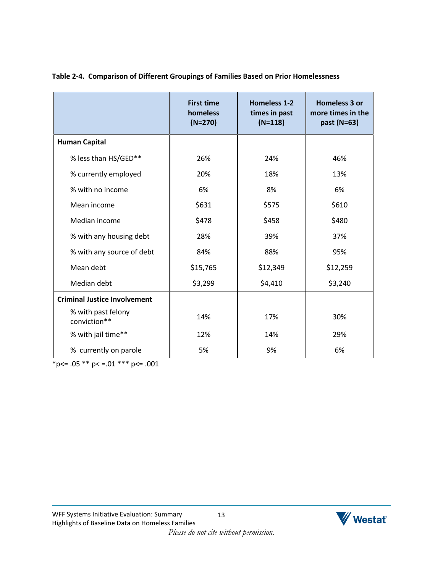|                                     | <b>First time</b><br>homeless<br>$(N=270)$ | <b>Homeless 1-2</b><br>times in past<br>$(N=118)$ | <b>Homeless 3 or</b><br>more times in the<br>past (N=63) |
|-------------------------------------|--------------------------------------------|---------------------------------------------------|----------------------------------------------------------|
| <b>Human Capital</b>                |                                            |                                                   |                                                          |
| % less than HS/GED**                | 26%                                        | 24%                                               | 46%                                                      |
| % currently employed                | 20%                                        | 18%                                               | 13%                                                      |
| % with no income                    | 6%                                         | 8%                                                | 6%                                                       |
| Mean income                         | \$631                                      | \$575                                             | \$610                                                    |
| Median income                       | \$478                                      | \$458                                             | \$480                                                    |
| % with any housing debt             | 28%                                        | 39%                                               | 37%                                                      |
| % with any source of debt           | 84%                                        | 88%                                               | 95%                                                      |
| Mean debt                           | \$15,765                                   | \$12,349                                          | \$12,259                                                 |
| Median debt                         | \$3,299                                    | \$4,410                                           | \$3,240                                                  |
| <b>Criminal Justice Involvement</b> |                                            |                                                   |                                                          |
| % with past felony<br>conviction**  | 14%                                        | 17%                                               | 30%                                                      |
| % with jail time**                  | 12%                                        | 14%                                               | 29%                                                      |
| % currently on parole               | 5%                                         | 9%                                                | 6%                                                       |

### **Table 2-4. Comparison of Different Groupings of Families Based on Prior Homelessness**

 $*_{p<-.05}$  \*\*  $p<-.01$  \*\*\*  $p<-.001$ 

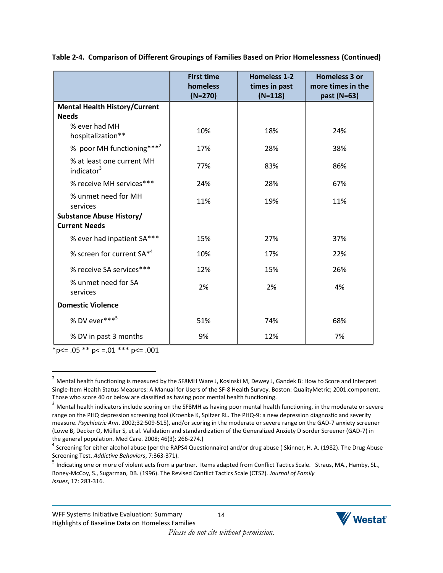|                                                     | <b>First time</b><br>homeless<br>$(N=270)$ | <b>Homeless 1-2</b><br>times in past<br>$(N=118)$ | Homeless 3 or<br>more times in the<br>past (N=63) |
|-----------------------------------------------------|--------------------------------------------|---------------------------------------------------|---------------------------------------------------|
| <b>Mental Health History/Current</b>                |                                            |                                                   |                                                   |
| <b>Needs</b>                                        |                                            |                                                   |                                                   |
| % ever had MH<br>hospitalization**                  | 10%                                        | 18%                                               | 24%                                               |
| % poor MH functioning*** <sup>2</sup>               | 17%                                        | 28%                                               | 38%                                               |
| % at least one current MH<br>indicator <sup>3</sup> | 77%                                        | 83%                                               | 86%                                               |
| % receive MH services***                            | 24%                                        | 28%                                               | 67%                                               |
| % unmet need for MH<br>services                     | 11%                                        | 19%                                               | 11%                                               |
| <b>Substance Abuse History/</b>                     |                                            |                                                   |                                                   |
| <b>Current Needs</b>                                |                                            |                                                   |                                                   |
| % ever had inpatient SA***                          | 15%                                        | 27%                                               | 37%                                               |
| % screen for current SA* <sup>4</sup>               | 10%                                        | 17%                                               | 22%                                               |
| % receive SA services***                            | 12%                                        | 15%                                               | 26%                                               |
| % unmet need for SA<br>services                     | 2%                                         | 2%                                                | 4%                                                |
| <b>Domestic Violence</b>                            |                                            |                                                   |                                                   |
| % DV ever*** <sup>5</sup>                           | 51%                                        | 74%                                               | 68%                                               |
| % DV in past 3 months                               | 9%                                         | 12%                                               | 7%                                                |

**Table 2-4. Comparison of Different Groupings of Families Based on Prior Homelessness (Continued)**

 $*p<= .05 ** p<= .01 ** p<= .001$ 

 $\overline{\phantom{a}}$ 



<sup>&</sup>lt;sup>2</sup> Mental health functioning is measured by the SF8MH Ware J, Kosinski M, Dewey J, Gandek B: How to Score and Interpret Single-Item Health Status Measures: A Manual for Users of the SF-8 Health Survey. Boston: QualityMetric; 2001.component. Those who score 40 or below are classified as having poor mental health functioning.

<sup>&</sup>lt;sup>3</sup> Mental health indicators include scoring on the SF8MH as having poor mental health functioning, in the moderate or severe range on the PHQ depression screening tool (Kroenke K, Spitzer RL. The PHQ-9: a new depression diagnostic and severity measure. *Psychiatric Ann*. 2002;32:509-515), and/or scoring in the moderate or severe range on the GAD-7 anxiety screener (Löwe B, Decker O, Müller S, et al. Validation and standardization of the Generalized Anxiety Disorder Screener (GAD-7) in the general population. Med Care. 2008; 46(3): 266-274.)

<sup>&</sup>lt;sup>4</sup> Screening for either alcohol abuse (per the RAPS4 Questionnaire) and/or drug abuse (Skinner, H. A. (1982). The Drug Abuse Screening Test. *Addictive Behaviors*, 7:363-371).

<sup>&</sup>lt;sup>5</sup> Indicating one or more of violent acts from a partner. Items adapted from Conflict Tactics Scale. Straus, MA., Hamby, SL., Boney-McCoy, S., Sugarman, DB. (1996). The Revised Conflict Tactics Scale (CTS2). *Journal of Family Issues*, 17: 283-316.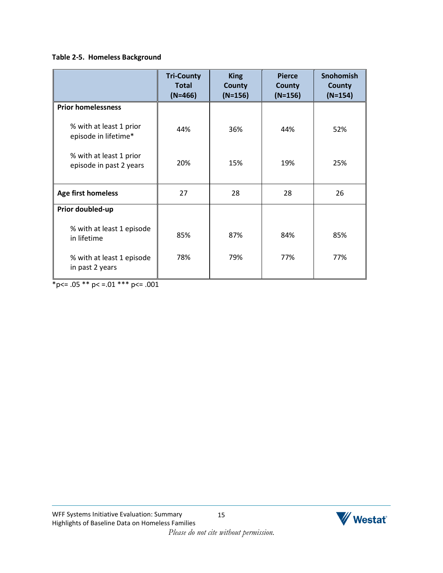### **Table 2-5. Homeless Background**

|                                                    | <b>Tri-County</b><br><b>Total</b><br>$(N=466)$ | <b>King</b><br><b>County</b><br>$(N=156)$ | <b>Pierce</b><br><b>County</b><br>$(N=156)$ | <b>Snohomish</b><br><b>County</b><br>$(N=154)$ |
|----------------------------------------------------|------------------------------------------------|-------------------------------------------|---------------------------------------------|------------------------------------------------|
| <b>Prior homelessness</b>                          |                                                |                                           |                                             |                                                |
| % with at least 1 prior<br>episode in lifetime*    | 44%                                            | 36%                                       | 44%                                         | 52%                                            |
| % with at least 1 prior<br>episode in past 2 years | 20%                                            | 15%                                       | 19%                                         | 25%                                            |
| Age first homeless                                 | 27                                             | 28                                        | 28                                          | 26                                             |
| Prior doubled-up                                   |                                                |                                           |                                             |                                                |
| % with at least 1 episode<br>in lifetime           | 85%                                            | 87%                                       | 84%                                         | 85%                                            |
| % with at least 1 episode<br>in past 2 years       | 78%                                            | 79%                                       | 77%                                         | 77%                                            |

 $*_{p<-.05}$  \*\*  $p<-.01$  \*\*\*  $p<-.001$ 

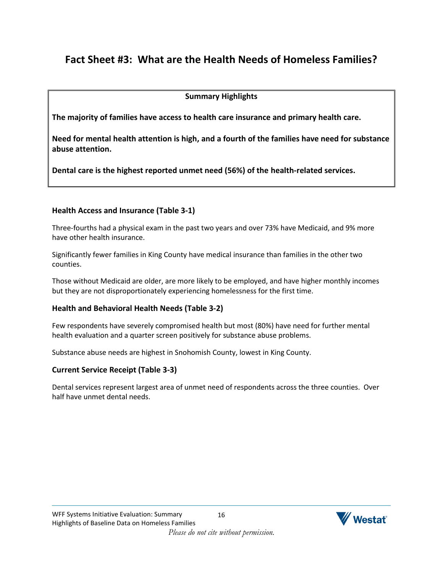# <span id="page-17-0"></span>**Fact Sheet #3: What are the Health Needs of Homeless Families?**

### **Summary Highlights**

**The majority of families have access to health care insurance and primary health care.**

**Need for mental health attention is high, and a fourth of the families have need for substance abuse attention.**

**Dental care is the highest reported unmet need (56%) of the health-related services.**

### **Health Access and Insurance (Table 3-1)**

Three-fourths had a physical exam in the past two years and over 73% have Medicaid, and 9% more have other health insurance.

Significantly fewer families in King County have medical insurance than families in the other two counties.

Those without Medicaid are older, are more likely to be employed, and have higher monthly incomes but they are not disproportionately experiencing homelessness for the first time.

### **Health and Behavioral Health Needs (Table 3-2)**

Few respondents have severely compromised health but most (80%) have need for further mental health evaluation and a quarter screen positively for substance abuse problems.

Substance abuse needs are highest in Snohomish County, lowest in King County.

### **Current Service Receipt (Table 3-3)**

Dental services represent largest area of unmet need of respondents across the three counties. Over half have unmet dental needs.

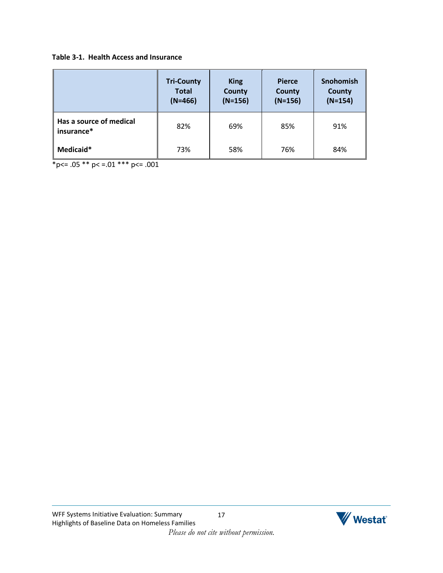#### **Table 3-1. Health Access and Insurance**

|                                       | <b>Tri-County</b><br><b>Total</b><br>$(N=466)$ | <b>King</b><br>County<br>$(N=156)$ | <b>Pierce</b><br><b>County</b><br>$(N=156)$ | <b>Snohomish</b><br>County<br>$(N=154)$ |
|---------------------------------------|------------------------------------------------|------------------------------------|---------------------------------------------|-----------------------------------------|
| Has a source of medical<br>insurance* | 82%                                            | 69%                                | 85%                                         | 91%                                     |
| Medicaid*                             | 73%                                            | 58%                                | 76%                                         | 84%                                     |

 $p \le 0.05$  \*\*  $p \le 0.01$  \*\*\*  $p \le 0.001$ 

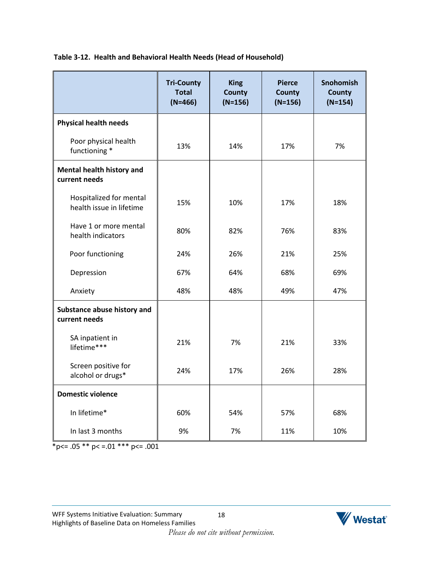|                                                     | <b>Tri-County</b><br><b>Total</b><br>$(N=466)$ | <b>King</b><br><b>County</b><br>$(N=156)$ | <b>Pierce</b><br><b>County</b><br>$(N=156)$ | <b>Snohomish</b><br>County<br>$(N=154)$ |
|-----------------------------------------------------|------------------------------------------------|-------------------------------------------|---------------------------------------------|-----------------------------------------|
| <b>Physical health needs</b>                        |                                                |                                           |                                             |                                         |
| Poor physical health<br>functioning *               | 13%                                            | 14%                                       | 17%                                         | 7%                                      |
| Mental health history and<br>current needs          |                                                |                                           |                                             |                                         |
| Hospitalized for mental<br>health issue in lifetime | 15%                                            | 10%                                       | 17%                                         | 18%                                     |
| Have 1 or more mental<br>health indicators          | 80%                                            | 82%                                       | 76%                                         | 83%                                     |
| Poor functioning                                    | 24%                                            | 26%                                       | 21%                                         | 25%                                     |
| Depression                                          | 67%                                            | 64%                                       | 68%                                         | 69%                                     |
| Anxiety                                             | 48%                                            | 48%                                       | 49%                                         | 47%                                     |
| Substance abuse history and<br>current needs        |                                                |                                           |                                             |                                         |
| SA inpatient in<br>lifetime***                      | 21%                                            | 7%                                        | 21%                                         | 33%                                     |
| Screen positive for<br>alcohol or drugs*            | 24%                                            | 17%                                       | 26%                                         | 28%                                     |
| <b>Domestic violence</b>                            |                                                |                                           |                                             |                                         |
| In lifetime*                                        | 60%                                            | 54%                                       | 57%                                         | 68%                                     |
| In last 3 months                                    | 9%                                             | 7%                                        | 11%                                         | 10%                                     |

 $*_{p<-.05}$  \*\*  $p<-.01$  \*\*\*  $p<=.001$ 

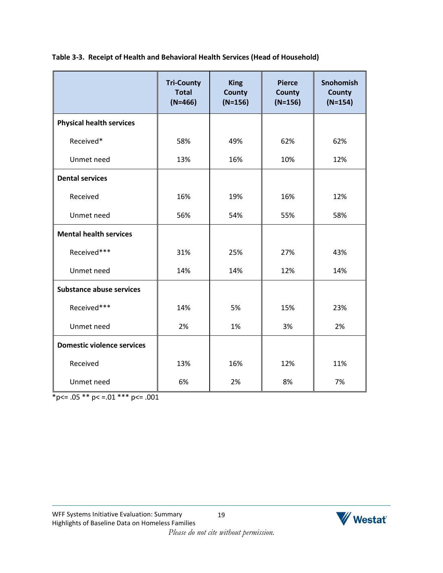|                                   | <b>Tri-County</b><br><b>Total</b><br>$(N=466)$ | <b>King</b><br><b>County</b><br>$(N=156)$ | <b>Pierce</b><br><b>County</b><br>$(N=156)$ | Snohomish<br><b>County</b><br>$(N=154)$ |
|-----------------------------------|------------------------------------------------|-------------------------------------------|---------------------------------------------|-----------------------------------------|
| <b>Physical health services</b>   |                                                |                                           |                                             |                                         |
| Received*                         | 58%                                            | 49%                                       | 62%                                         | 62%                                     |
| Unmet need                        | 13%                                            | 16%                                       | 10%                                         | 12%                                     |
| <b>Dental services</b>            |                                                |                                           |                                             |                                         |
| Received                          | 16%                                            | 19%                                       | 16%                                         | 12%                                     |
| Unmet need                        | 56%                                            | 54%                                       | 55%                                         | 58%                                     |
| <b>Mental health services</b>     |                                                |                                           |                                             |                                         |
| Received***                       | 31%                                            | 25%                                       | 27%                                         | 43%                                     |
| Unmet need                        | 14%                                            | 14%                                       | 12%                                         | 14%                                     |
| <b>Substance abuse services</b>   |                                                |                                           |                                             |                                         |
| Received***                       | 14%                                            | 5%                                        | 15%                                         | 23%                                     |
| Unmet need                        | 2%                                             | 1%                                        | 3%                                          | 2%                                      |
| <b>Domestic violence services</b> |                                                |                                           |                                             |                                         |
| Received                          | 13%                                            | 16%                                       | 12%                                         | 11%                                     |
| Unmet need                        | 6%                                             | 2%                                        | 8%                                          | 7%                                      |

**Table 3-3. Receipt of Health and Behavioral Health Services (Head of Household)**

 $*_{p<-.05}$  \*\* p < = .01 \*\*\* p <= .001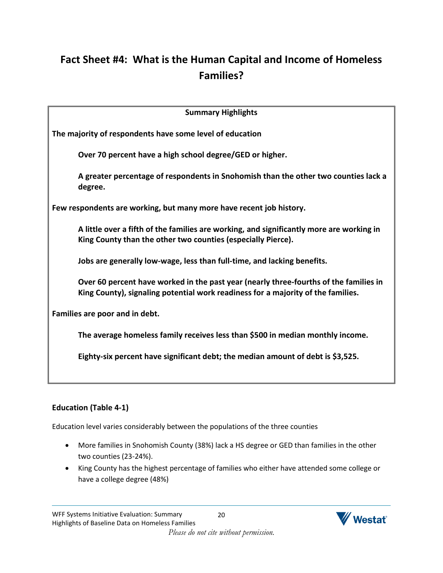# <span id="page-21-0"></span>**Fact Sheet #4: What is the Human Capital and Income of Homeless Families?**

| <b>Summary Highlights</b>                                                                                                                                                 |
|---------------------------------------------------------------------------------------------------------------------------------------------------------------------------|
| The majority of respondents have some level of education                                                                                                                  |
| Over 70 percent have a high school degree/GED or higher.                                                                                                                  |
| A greater percentage of respondents in Snohomish than the other two counties lack a<br>degree.                                                                            |
| Few respondents are working, but many more have recent job history.                                                                                                       |
| A little over a fifth of the families are working, and significantly more are working in<br>King County than the other two counties (especially Pierce).                  |
| Jobs are generally low-wage, less than full-time, and lacking benefits.                                                                                                   |
| Over 60 percent have worked in the past year (nearly three-fourths of the families in<br>King County), signaling potential work readiness for a majority of the families. |
| Families are poor and in debt.                                                                                                                                            |
| The average homeless family receives less than \$500 in median monthly income.                                                                                            |
| Eighty-six percent have significant debt; the median amount of debt is \$3,525.                                                                                           |
|                                                                                                                                                                           |

# **Education (Table 4-1)**

Education level varies considerably between the populations of the three counties

- More families in Snohomish County (38%) lack a HS degree or GED than families in the other two counties (23-24%).
- King County has the highest percentage of families who either have attended some college or have a college degree (48%)

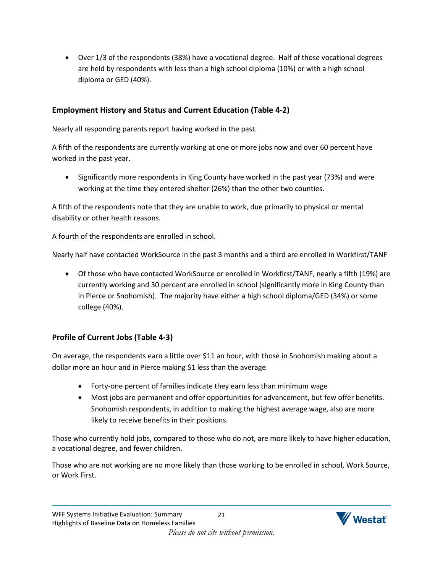Over 1/3 of the respondents (38%) have a vocational degree. Half of those vocational degrees are held by respondents with less than a high school diploma (10%) or with a high school diploma or GED (40%).

### **Employment History and Status and Current Education (Table 4-2)**

Nearly all responding parents report having worked in the past.

A fifth of the respondents are currently working at one or more jobs now and over 60 percent have worked in the past year.

• Significantly more respondents in King County have worked in the past year (73%) and were working at the time they entered shelter (26%) than the other two counties.

A fifth of the respondents note that they are unable to work, due primarily to physical or mental disability or other health reasons.

A fourth of the respondents are enrolled in school.

Nearly half have contacted WorkSource in the past 3 months and a third are enrolled in Workfirst/TANF

 Of those who have contacted WorkSource or enrolled in Workfirst/TANF, nearly a fifth (19%) are currently working and 30 percent are enrolled in school (significantly more in King County than in Pierce or Snohomish). The majority have either a high school diploma/GED (34%) or some college (40%).

## **Profile of Current Jobs (Table 4-3)**

On average, the respondents earn a little over \$11 an hour, with those in Snohomish making about a dollar more an hour and in Pierce making \$1 less than the average.

- Forty-one percent of families indicate they earn less than minimum wage
- Most jobs are permanent and offer opportunities for advancement, but few offer benefits. Snohomish respondents, in addition to making the highest average wage, also are more likely to receive benefits in their positions.

Those who currently hold jobs, compared to those who do not, are more likely to have higher education, a vocational degree, and fewer children.

Those who are not working are no more likely than those working to be enrolled in school, Work Source, or Work First.

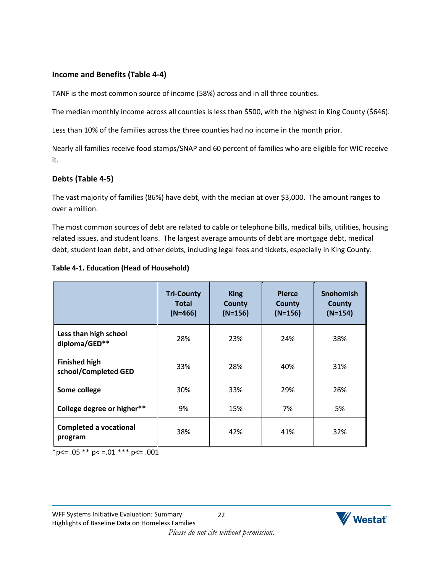### **Income and Benefits (Table 4-4)**

TANF is the most common source of income (58%) across and in all three counties.

The median monthly income across all counties is less than \$500, with the highest in King County (\$646).

Less than 10% of the families across the three counties had no income in the month prior.

Nearly all families receive food stamps/SNAP and 60 percent of families who are eligible for WIC receive it.

### **Debts (Table 4-5)**

The vast majority of families (86%) have debt, with the median at over \$3,000. The amount ranges to over a million.

The most common sources of debt are related to cable or telephone bills, medical bills, utilities, housing related issues, and student loans. The largest average amounts of debt are mortgage debt, medical debt, student loan debt, and other debts, including legal fees and tickets, especially in King County.

|                                              | <b>Tri-County</b><br><b>Total</b><br>$(N=466)$ | <b>King</b><br><b>County</b><br>$(N=156)$ | <b>Pierce</b><br><b>County</b><br>$(N=156)$ | <b>Snohomish</b><br><b>County</b><br>$(N=154)$ |
|----------------------------------------------|------------------------------------------------|-------------------------------------------|---------------------------------------------|------------------------------------------------|
| Less than high school<br>diploma/GED**       | 28%                                            | 23%                                       | 24%                                         | 38%                                            |
| <b>Finished high</b><br>school/Completed GED | 33%                                            | 28%                                       | 40%                                         | 31%                                            |
| Some college                                 | 30%                                            | 33%                                       | 29%                                         | 26%                                            |
| College degree or higher**                   | 9%                                             | 15%                                       | 7%                                          | 5%                                             |
| <b>Completed a vocational</b><br>program     | 38%                                            | 42%                                       | 41%                                         | 32%                                            |

### **Table 4-1. Education (Head of Household)**

 $*_{p<-.05}$  \*\* p < = .01 \*\*\* p <= .001

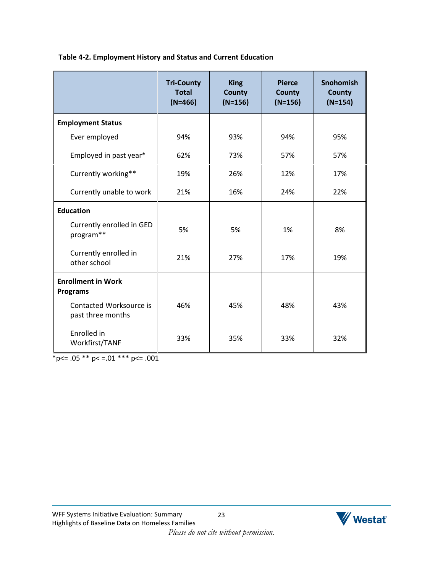|                                              | <b>Tri-County</b><br><b>Total</b><br>$(N=466)$ | <b>King</b><br>County<br>$(N=156)$ | <b>Pierce</b><br>County<br>$(N=156)$ | <b>Snohomish</b><br>County<br>$(N=154)$ |
|----------------------------------------------|------------------------------------------------|------------------------------------|--------------------------------------|-----------------------------------------|
| <b>Employment Status</b>                     |                                                |                                    |                                      |                                         |
| Ever employed                                | 94%                                            | 93%                                | 94%                                  | 95%                                     |
| Employed in past year*                       | 62%                                            | 73%                                | 57%                                  | 57%                                     |
| Currently working**                          | 19%                                            | 26%                                | 12%                                  | 17%                                     |
| Currently unable to work                     | 21%                                            | 16%                                | 24%                                  | 22%                                     |
| <b>Education</b>                             |                                                |                                    |                                      |                                         |
| Currently enrolled in GED<br>program**       | 5%                                             | 5%                                 | 1%                                   | 8%                                      |
| Currently enrolled in<br>other school        | 21%                                            | 27%                                | 17%                                  | 19%                                     |
| <b>Enrollment in Work</b><br><b>Programs</b> |                                                |                                    |                                      |                                         |
| Contacted Worksource is<br>past three months | 46%                                            | 45%                                | 48%                                  | 43%                                     |
| Enrolled in<br>Workfirst/TANF                | 33%                                            | 35%                                | 33%                                  | 32%                                     |

 $p <= .05 \cdot p < = .01 \cdot p < = .001$ 

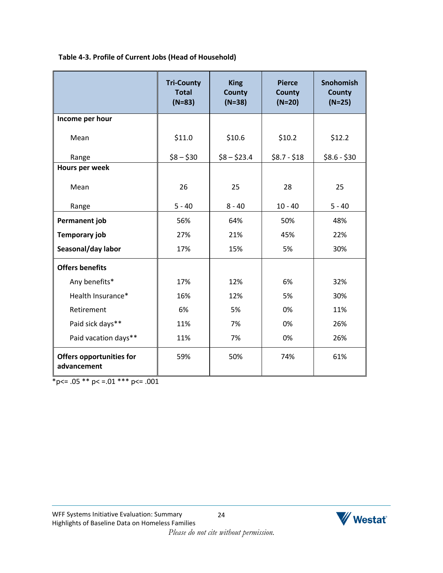|                                                | <b>Tri-County</b><br><b>Total</b><br>$(N=83)$ | <b>King</b><br><b>County</b><br>$(N=38)$ | <b>Pierce</b><br><b>County</b><br>$(N=20)$ | <b>Snohomish</b><br><b>County</b><br>$(N=25)$ |
|------------------------------------------------|-----------------------------------------------|------------------------------------------|--------------------------------------------|-----------------------------------------------|
| Income per hour                                |                                               |                                          |                                            |                                               |
| Mean                                           | \$11.0                                        | \$10.6                                   | \$10.2                                     | \$12.2                                        |
| Range                                          | $$8 - $30$                                    | $$8 - $23.4$                             | $$8.7 - $18$                               | $$8.6 - $30$                                  |
| Hours per week                                 |                                               |                                          |                                            |                                               |
| Mean                                           | 26                                            | 25                                       | 28                                         | 25                                            |
| Range                                          | $5 - 40$                                      | $8 - 40$                                 | $10 - 40$                                  | $5 - 40$                                      |
| Permanent job                                  | 56%                                           | 64%                                      | 50%                                        | 48%                                           |
| <b>Temporary job</b>                           | 27%                                           | 21%                                      | 45%                                        | 22%                                           |
| Seasonal/day labor                             | 17%                                           | 15%                                      | 5%                                         | 30%                                           |
| <b>Offers benefits</b>                         |                                               |                                          |                                            |                                               |
| Any benefits*                                  | 17%                                           | 12%                                      | 6%                                         | 32%                                           |
| Health Insurance*                              | 16%                                           | 12%                                      | 5%                                         | 30%                                           |
| Retirement                                     | 6%                                            | 5%                                       | 0%                                         | 11%                                           |
| Paid sick days**                               | 11%                                           | 7%                                       | 0%                                         | 26%                                           |
| Paid vacation days**                           | 11%                                           | 7%                                       | 0%                                         | 26%                                           |
| <b>Offers opportunities for</b><br>advancement | 59%                                           | 50%                                      | 74%                                        | 61%                                           |

 $*p<=.05 ** p<=.01 ** p<=.001$ 

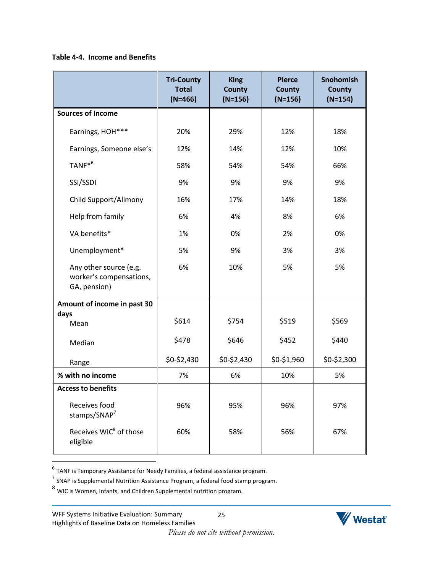### **Table 4-4. Income and Benefits**

|                                                                   | <b>Tri-County</b><br><b>Total</b><br>$(N=466)$ | <b>King</b><br><b>County</b><br>$(N=156)$ | <b>Pierce</b><br><b>County</b><br>$(N=156)$ | <b>Snohomish</b><br><b>County</b><br>$(N=154)$ |
|-------------------------------------------------------------------|------------------------------------------------|-------------------------------------------|---------------------------------------------|------------------------------------------------|
| <b>Sources of Income</b>                                          |                                                |                                           |                                             |                                                |
| Earnings, HOH***                                                  | 20%                                            | 29%                                       | 12%                                         | 18%                                            |
| Earnings, Someone else's                                          | 12%                                            | 14%                                       | 12%                                         | 10%                                            |
| TANF <sup>*6</sup>                                                | 58%                                            | 54%                                       | 54%                                         | 66%                                            |
| SSI/SSDI                                                          | 9%                                             | 9%                                        | 9%                                          | 9%                                             |
| Child Support/Alimony                                             | 16%                                            | 17%                                       | 14%                                         | 18%                                            |
| Help from family                                                  | 6%                                             | 4%                                        | 8%                                          | 6%                                             |
| VA benefits*                                                      | 1%                                             | 0%                                        | 2%                                          | 0%                                             |
| Unemployment*                                                     | 5%                                             | 9%                                        | 3%                                          | 3%                                             |
| Any other source (e.g.<br>worker's compensations,<br>GA, pension) | 6%                                             | 10%                                       | 5%                                          | 5%                                             |
| Amount of income in past 30                                       |                                                |                                           |                                             |                                                |
| days<br>Mean                                                      | \$614                                          | \$754                                     | \$519                                       | \$569                                          |
| Median                                                            | \$478                                          | \$646                                     | \$452                                       | \$440                                          |
| Range                                                             | \$0-\$2,430                                    | \$0-\$2,430                               | \$0-\$1,960                                 | \$0-\$2,300                                    |
| % with no income                                                  | 7%                                             | 6%                                        | 10%                                         | 5%                                             |
| <b>Access to benefits</b>                                         |                                                |                                           |                                             |                                                |
| Receives food<br>stamps/SNAP <sup>7</sup>                         | 96%                                            | 95%                                       | 96%                                         | 97%                                            |
| Receives WIC <sup>8</sup> of those<br>eligible                    | 60%                                            | 58%                                       | 56%                                         | 67%                                            |

6 TANF is Temporary Assistance for Needy Families, a federal assistance program. 7 SNAP is Supplemental Nutrition Assistance Program, a federal food stamp program.

8 WIC is Women, Infants, and Children Supplemental nutrition program.



*Please do not cite without permission.*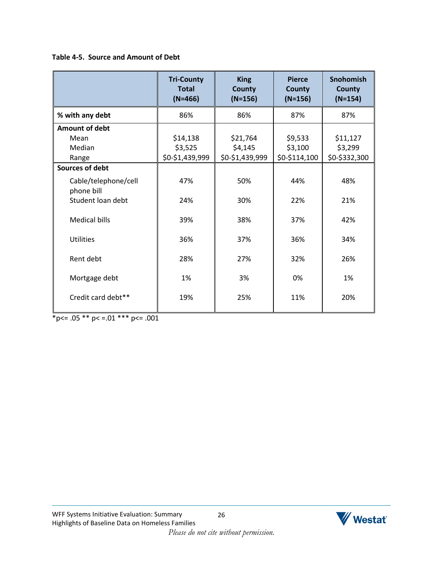### **Table 4-5. Source and Amount of Debt**

|                                    | <b>Tri-County</b><br><b>Total</b><br>$(N=466)$ | <b>King</b><br>County<br>$(N=156)$ | <b>Pierce</b><br><b>County</b><br>$(N=156)$ | <b>Snohomish</b><br><b>County</b><br>$(N=154)$ |
|------------------------------------|------------------------------------------------|------------------------------------|---------------------------------------------|------------------------------------------------|
| % with any debt                    | 86%                                            | 86%                                | 87%                                         | 87%                                            |
| Amount of debt                     |                                                |                                    |                                             |                                                |
| Mean                               | \$14,138                                       | \$21,764                           | \$9,533                                     | \$11,127                                       |
| Median                             | \$3,525                                        | \$4,145                            | \$3,100                                     | \$3,299                                        |
| Range                              | \$0-\$1,439,999                                | \$0-\$1,439,999                    | \$0-\$114,100                               | \$0-\$332,300                                  |
| Sources of debt                    |                                                |                                    |                                             |                                                |
| Cable/telephone/cell<br>phone bill | 47%                                            | 50%                                | 44%                                         | 48%                                            |
| Student loan debt                  | 24%                                            | 30%                                | 22%                                         | 21%                                            |
| <b>Medical bills</b>               | 39%                                            | 38%                                | 37%                                         | 42%                                            |
| <b>Utilities</b>                   | 36%                                            | 37%                                | 36%                                         | 34%                                            |
| Rent debt                          | 28%                                            | 27%                                | 32%                                         | 26%                                            |
| Mortgage debt                      | 1%                                             | 3%                                 | 0%                                          | 1%                                             |
| Credit card debt**                 | 19%                                            | 25%                                | 11%                                         | 20%                                            |

 $*_{p<-.05}$  \*\*  $p<-.01$  \*\*\*  $p<-.001$ 

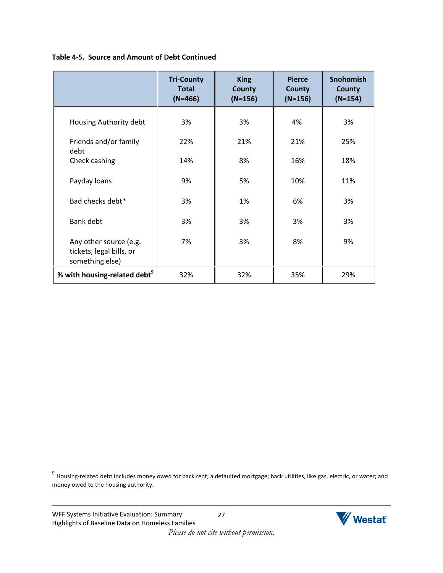### **Table 4-5. Source and Amount of Debt Continued**

|                                                                       | <b>Tri-County</b><br><b>Total</b><br>$(N=466)$ | <b>King</b><br><b>County</b><br>$(N=156)$ | <b>Pierce</b><br><b>County</b><br>$(N=156)$ | Snohomish<br><b>County</b><br>$(N=154)$ |
|-----------------------------------------------------------------------|------------------------------------------------|-------------------------------------------|---------------------------------------------|-----------------------------------------|
| Housing Authority debt                                                | 3%                                             | 3%                                        | 4%                                          | 3%                                      |
| Friends and/or family<br>debt                                         | 22%                                            | 21%                                       | 21%                                         | 25%                                     |
| Check cashing                                                         | 14%                                            | 8%                                        | 16%                                         | 18%                                     |
| Payday loans                                                          | 9%                                             | 5%                                        | 10%                                         | 11%                                     |
| Bad checks debt*                                                      | 3%                                             | 1%                                        | 6%                                          | 3%                                      |
| Bank debt                                                             | 3%                                             | 3%                                        | 3%                                          | 3%                                      |
| Any other source (e.g.<br>tickets, legal bills, or<br>something else) | 7%                                             | 3%                                        | 8%                                          | 9%                                      |
| % with housing-related debt <sup>9</sup>                              | 32%                                            | 32%                                       | 35%                                         | 29%                                     |

 9 Housing-related debt includes money owed for back rent; a defaulted mortgage; back utilities, like gas, electric, or water; and money owed to the housing authority.

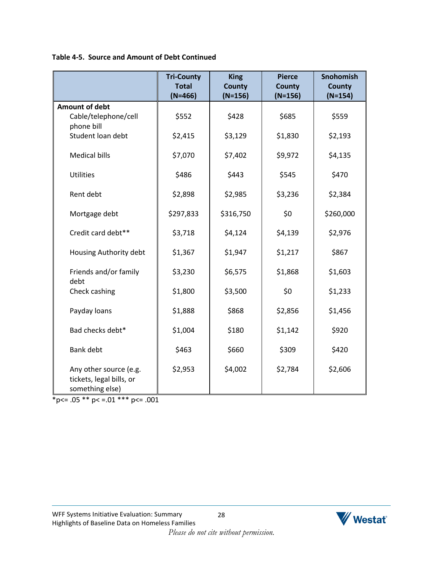**Table 4-5. Source and Amount of Debt Continued**

|                                                                       | <b>Tri-County</b><br><b>Total</b><br>$(N=466)$ | <b>King</b><br><b>County</b><br>$(N=156)$ | <b>Pierce</b><br><b>County</b><br>$(N=156)$ | <b>Snohomish</b><br><b>County</b><br>$(N=154)$ |
|-----------------------------------------------------------------------|------------------------------------------------|-------------------------------------------|---------------------------------------------|------------------------------------------------|
| <b>Amount of debt</b>                                                 |                                                |                                           |                                             |                                                |
| Cable/telephone/cell<br>phone bill                                    | \$552                                          | \$428                                     | \$685                                       | \$559                                          |
| Student loan debt                                                     | \$2,415                                        | \$3,129                                   | \$1,830                                     | \$2,193                                        |
| <b>Medical bills</b>                                                  | \$7,070                                        | \$7,402                                   | \$9,972                                     | \$4,135                                        |
| <b>Utilities</b>                                                      | \$486                                          | \$443                                     | \$545                                       | \$470                                          |
| Rent debt                                                             | \$2,898                                        | \$2,985                                   | \$3,236                                     | \$2,384                                        |
| Mortgage debt                                                         | \$297,833                                      | \$316,750                                 | \$0                                         | \$260,000                                      |
| Credit card debt**                                                    | \$3,718                                        | \$4,124                                   | \$4,139                                     | \$2,976                                        |
| Housing Authority debt                                                | \$1,367                                        | \$1,947                                   | \$1,217                                     | \$867                                          |
| Friends and/or family<br>debt                                         | \$3,230                                        | \$6,575                                   | \$1,868                                     | \$1,603                                        |
| Check cashing                                                         | \$1,800                                        | \$3,500                                   | \$0                                         | \$1,233                                        |
| Payday loans                                                          | \$1,888                                        | \$868                                     | \$2,856                                     | \$1,456                                        |
| Bad checks debt*                                                      | \$1,004                                        | \$180                                     | \$1,142                                     | \$920                                          |
| <b>Bank debt</b>                                                      | \$463                                          | \$660                                     | \$309                                       | \$420                                          |
| Any other source (e.g.<br>tickets, legal bills, or<br>something else) | \$2,953                                        | \$4,002                                   | \$2,784                                     | \$2,606                                        |

 $*p<= .05 ** p<= .01 ** p<= .001$ 

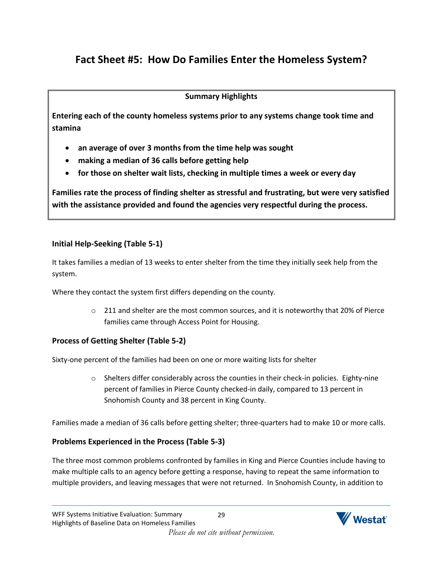# <span id="page-30-0"></span>**Fact Sheet #5: How Do Families Enter the Homeless System?**

### **Summary Highlights**

**Entering each of the county homeless systems prior to any systems change took time and stamina**

- **an average of over 3 months from the time help was sought**
- **making a median of 36 calls before getting help**
- **for those on shelter wait lists, checking in multiple times a week or every day**

**Families rate the process of finding shelter as stressful and frustrating, but were very satisfied with the assistance provided and found the agencies very respectful during the process.**

## **Initial Help-Seeking (Table 5-1)**

It takes families a median of 13 weeks to enter shelter from the time they initially seek help from the system.

Where they contact the system first differs depending on the county.

 $\circ$  211 and shelter are the most common sources, and it is noteworthy that 20% of Pierce families came through Access Point for Housing.

## **Process of Getting Shelter (Table 5-2)**

Sixty-one percent of the families had been on one or more waiting lists for shelter

 $\circ$  Shelters differ considerably across the counties in their check-in policies. Eighty-nine percent of families in Pierce County checked-in daily, compared to 13 percent in Snohomish County and 38 percent in King County.

Families made a median of 36 calls before getting shelter; three-quarters had to make 10 or more calls.

## **Problems Experienced in the Process (Table 5-3)**

The three most common problems confronted by families in King and Pierce Counties include having to make multiple calls to an agency before getting a response, having to repeat the same information to multiple providers, and leaving messages that were not returned. In Snohomish County, in addition to

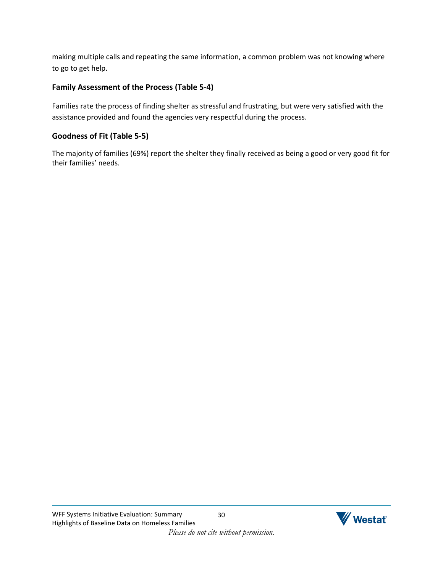making multiple calls and repeating the same information, a common problem was not knowing where to go to get help.

### **Family Assessment of the Process (Table 5-4)**

Families rate the process of finding shelter as stressful and frustrating, but were very satisfied with the assistance provided and found the agencies very respectful during the process.

## **Goodness of Fit (Table 5-5)**

The majority of families (69%) report the shelter they finally received as being a good or very good fit for their families' needs.

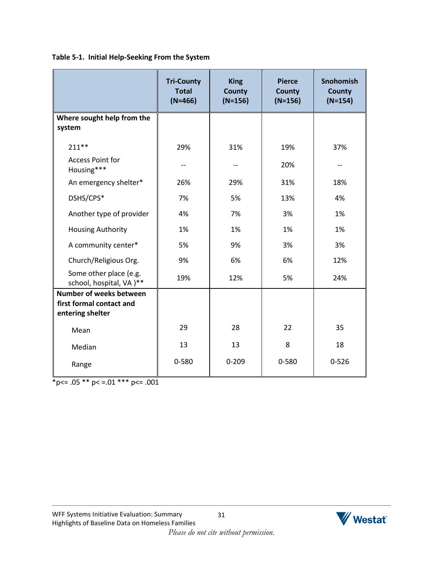**Table 5-1. Initial Help-Seeking From the System**

|                                                                                | <b>Tri-County</b><br><b>Total</b><br>$(N=466)$ | <b>King</b><br><b>County</b><br>$(N=156)$ | <b>Pierce</b><br>County<br>$(N=156)$ | <b>Snohomish</b><br><b>County</b><br>$(N=154)$ |
|--------------------------------------------------------------------------------|------------------------------------------------|-------------------------------------------|--------------------------------------|------------------------------------------------|
| Where sought help from the<br>system                                           |                                                |                                           |                                      |                                                |
| $211**$                                                                        | 29%                                            | 31%                                       | 19%                                  | 37%                                            |
| <b>Access Point for</b><br>Housing***                                          |                                                |                                           | 20%                                  |                                                |
| An emergency shelter*                                                          | 26%                                            | 29%                                       | 31%                                  | 18%                                            |
| DSHS/CPS*                                                                      | 7%                                             | 5%                                        | 13%                                  | 4%                                             |
| Another type of provider                                                       | 4%                                             | 7%                                        | 3%                                   | 1%                                             |
| <b>Housing Authority</b>                                                       | 1%                                             | 1%                                        | 1%                                   | 1%                                             |
| A community center*                                                            | 5%                                             | 9%                                        | 3%                                   | 3%                                             |
| Church/Religious Org.                                                          | 9%                                             | 6%                                        | 6%                                   | 12%                                            |
| Some other place (e.g.<br>school, hospital, VA)**                              | 19%                                            | 12%                                       | 5%                                   | 24%                                            |
| <b>Number of weeks between</b><br>first formal contact and<br>entering shelter |                                                |                                           |                                      |                                                |
| Mean                                                                           | 29                                             | 28                                        | 22                                   | 35                                             |
| Median                                                                         | 13                                             | 13                                        | 8                                    | 18                                             |
| Range                                                                          | 0-580                                          | $0 - 209$                                 | 0-580                                | $0 - 526$                                      |

 $p <= .05 \cdot p < = .01 \cdot p < = .001$ 

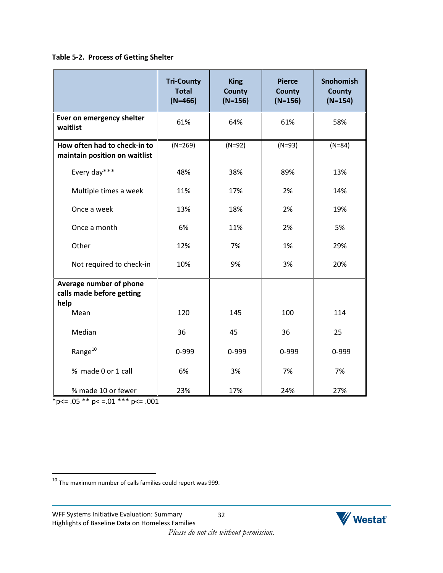### **Table 5-2. Process of Getting Shelter**

|                                                               | <b>Tri-County</b><br><b>Total</b><br>$(N=466)$ | <b>King</b><br><b>County</b><br>$(N=156)$ | <b>Pierce</b><br><b>County</b><br>$(N=156)$ | <b>Snohomish</b><br><b>County</b><br>$(N=154)$ |
|---------------------------------------------------------------|------------------------------------------------|-------------------------------------------|---------------------------------------------|------------------------------------------------|
| Ever on emergency shelter<br>waitlist                         | 61%                                            | 64%                                       | 61%                                         | 58%                                            |
| How often had to check-in to<br>maintain position on waitlist | $(N=269)$                                      | $(N=92)$                                  | $(N=93)$                                    | $(N=84)$                                       |
| Every day***                                                  | 48%                                            | 38%                                       | 89%                                         | 13%                                            |
| Multiple times a week                                         | 11%                                            | 17%                                       | 2%                                          | 14%                                            |
| Once a week                                                   | 13%                                            | 18%                                       | 2%                                          | 19%                                            |
| Once a month                                                  | 6%                                             | 11%                                       | 2%                                          | 5%                                             |
| Other                                                         | 12%                                            | 7%                                        | 1%                                          | 29%                                            |
| Not required to check-in                                      | 10%                                            | 9%                                        | 3%                                          | 20%                                            |
| Average number of phone<br>calls made before getting<br>help  |                                                |                                           |                                             |                                                |
| Mean                                                          | 120                                            | 145                                       | 100                                         | 114                                            |
| Median                                                        | 36                                             | 45                                        | 36                                          | 25                                             |
| Range <sup>10</sup>                                           | 0-999                                          | 0-999                                     | 0-999                                       | 0-999                                          |
| % made 0 or 1 call                                            | 6%                                             | 3%                                        | 7%                                          | 7%                                             |
| % made 10 or fewer                                            | 23%                                            | 17%                                       | 24%                                         | 27%                                            |

 $*p<= .05 ** p<= .01 ** p<= .001$ 

 $\overline{\phantom{a}}$ 

 $^{10}$  The maximum number of calls families could report was 999.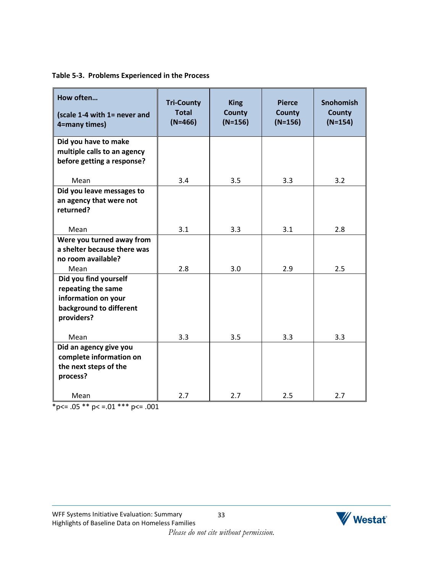|  | Table 5-3. Problems Experienced in the Process |  |  |
|--|------------------------------------------------|--|--|
|  |                                                |  |  |

| How often<br>(scale 1-4 with 1= never and<br>4=many times)                                                          | <b>Tri-County</b><br><b>Total</b><br>$(N=466)$ | <b>King</b><br><b>County</b><br>$(N=156)$ | <b>Pierce</b><br><b>County</b><br>$(N=156)$ | <b>Snohomish</b><br><b>County</b><br>$(N=154)$ |
|---------------------------------------------------------------------------------------------------------------------|------------------------------------------------|-------------------------------------------|---------------------------------------------|------------------------------------------------|
| Did you have to make<br>multiple calls to an agency<br>before getting a response?                                   |                                                |                                           |                                             |                                                |
| Mean                                                                                                                | 3.4                                            | 3.5                                       | 3.3                                         | 3.2                                            |
| Did you leave messages to<br>an agency that were not<br>returned?                                                   |                                                |                                           |                                             |                                                |
| Mean                                                                                                                | 3.1                                            | 3.3                                       | 3.1                                         | 2.8                                            |
| Were you turned away from<br>a shelter because there was<br>no room available?                                      |                                                |                                           |                                             |                                                |
| Mean<br>Did you find yourself<br>repeating the same<br>information on your<br>background to different<br>providers? | 2.8                                            | 3.0                                       | 2.9                                         | 2.5                                            |
| Mean                                                                                                                | 3.3                                            | 3.5                                       | 3.3                                         | 3.3                                            |
| Did an agency give you<br>complete information on<br>the next steps of the<br>process?                              |                                                |                                           |                                             |                                                |
| Mean                                                                                                                | 2.7                                            | 2.7                                       | 2.5                                         | 2.7                                            |

 $*_{p<-.05}$  \*\*  $p<-.01$  \*\*\*  $p<-.001$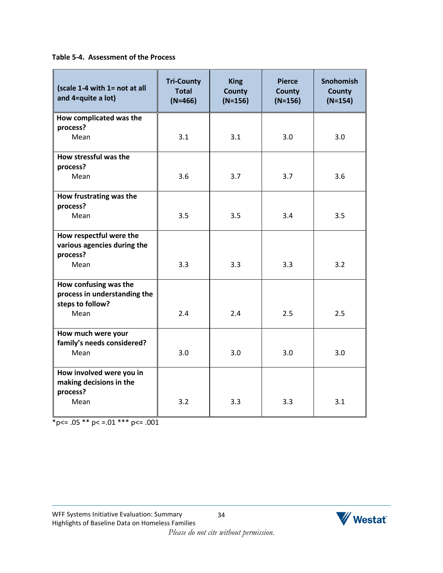**Table 5-4. Assessment of the Process**

| (scale 1-4 with 1= not at all<br>and 4=quite a lot)    | <b>Tri-County</b><br><b>Total</b><br>$(N=466)$ | <b>King</b><br><b>County</b><br>$(N=156)$ | <b>Pierce</b><br><b>County</b><br>$(N=156)$ | <b>Snohomish</b><br><b>County</b><br>$(N=154)$ |
|--------------------------------------------------------|------------------------------------------------|-------------------------------------------|---------------------------------------------|------------------------------------------------|
| How complicated was the                                |                                                |                                           |                                             |                                                |
| process?<br>Mean                                       | 3.1                                            | 3.1                                       | 3.0                                         | 3.0                                            |
| How stressful was the                                  |                                                |                                           |                                             |                                                |
| process?<br>Mean                                       | 3.6                                            | 3.7                                       | 3.7                                         | 3.6                                            |
| How frustrating was the                                |                                                |                                           |                                             |                                                |
| process?<br>Mean                                       | 3.5                                            | 3.5                                       | 3.4                                         | 3.5                                            |
| How respectful were the<br>various agencies during the |                                                |                                           |                                             |                                                |
| process?<br>Mean                                       | 3.3                                            | 3.3                                       | 3.3                                         | 3.2                                            |
| How confusing was the<br>process in understanding the  |                                                |                                           |                                             |                                                |
| steps to follow?<br>Mean                               | 2.4                                            | 2.4                                       | 2.5                                         | 2.5                                            |
| How much were your                                     |                                                |                                           |                                             |                                                |
| family's needs considered?<br>Mean                     | 3.0                                            | 3.0                                       | 3.0                                         | 3.0                                            |
| How involved were you in<br>making decisions in the    |                                                |                                           |                                             |                                                |
| process?<br>Mean                                       | 3.2                                            | 3.3                                       | 3.3                                         | 3.1                                            |

 $p <= .05 \cdot p < = .01 \cdot p < = .001$ 



34